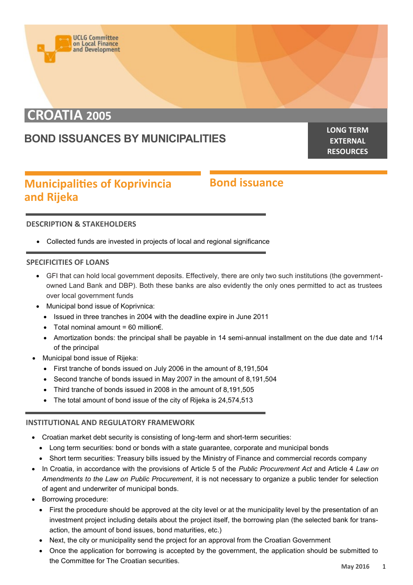

# **CROATIA 2005**

## **BOND ISSUANCES BY MUNICIPALITIES**

**LONG TERM EXTERNAL RESOURCES**

### **Municipalities of Koprivincia and Rijeka**

### **Bond issuance**

#### **DESCRIPTION & STAKEHOLDERS**

Collected funds are invested in projects of local and regional significance

#### **SPECIFICITIES OF LOANS**

- GFI that can hold local government deposits. Effectively, there are only two such institutions (the governmentowned Land Bank and DBP). Both these banks are also evidently the only ones permitted to act as trustees over local government funds
- Municipal bond issue of Koprivnica:
	- Issued in three tranches in 2004 with the deadline expire in June 2011
	- $\bullet$  Total nominal amount = 60 million  $\epsilon$ .
	- Amortization bonds: the principal shall be payable in 14 semi-annual installment on the due date and 1/14 of the principal
- Municipal bond issue of Rijeka:
	- First tranche of bonds issued on July 2006 in the amount of 8,191,504
	- Second tranche of bonds issued in May 2007 in the amount of 8,191,504
	- Third tranche of bonds issued in 2008 in the amount of 8,191,505
	- The total amount of bond issue of the city of Rijeka is 24,574,513

#### **INSTITUTIONAL AND REGULATORY FRAMEWORK**

- Croatian market debt security is consisting of long-term and short-term securities:
	- Long term securities: bond or bonds with a state guarantee, corporate and municipal bonds
- Short term securities: Treasury bills issued by the Ministry of Finance and commercial records company
- In Croatia, in accordance with the provisions of Article 5 of the *Public Procurement Act* and Article 4 *Law on Amendments to the Law on Public Procurement*, it is not necessary to organize a public tender for selection of agent and underwriter of municipal bonds.
- Borrowing procedure:
	- First the procedure should be approved at the city level or at the municipality level by the presentation of an investment project including details about the project itself, the borrowing plan (the selected bank for transaction, the amount of bond issues, bond maturities, etc.)
	- Next, the city or municipality send the project for an approval from the Croatian Government
	- Once the application for borrowing is accepted by the government, the application should be submitted to the Committee for The Croatian securities.